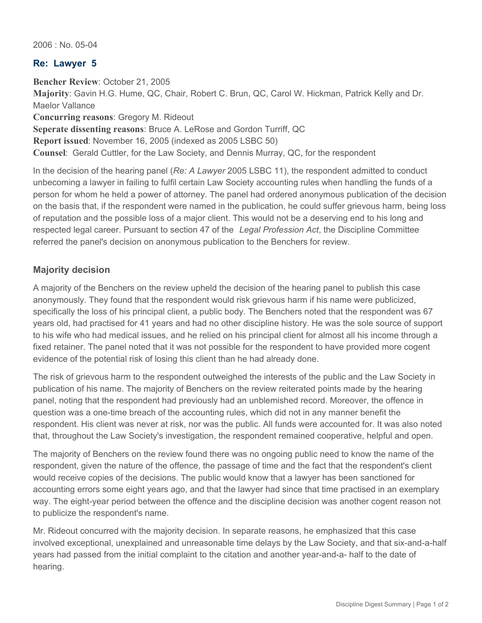2006 : No. 05-04

## **Re: Lawyer 5**

**Bencher Review**: October 21, 2005 **Majority**: Gavin H.G. Hume, QC, Chair, Robert C. Brun, QC, Carol W. Hickman, Patrick Kelly and Dr. Maelor Vallance **Concurring reasons**: Gregory M. Rideout **Seperate dissenting reasons**: Bruce A. LeRose and Gordon Turriff, QC **Report issued**: November 16, 2005 (indexed as 2005 LSBC 50) **Counsel**: Gerald Cuttler, for the Law Society, and Dennis Murray, QC, for the respondent

In the decision of the hearing panel (*Re: A Lawyer* 2005 LSBC 11), the respondent admitted to conduct unbecoming a lawyer in failing to fulfil certain Law Society accounting rules when handling the funds of a person for whom he held a power of attorney. The panel had ordered anonymous publication of the decision on the basis that, if the respondent were named in the publication, he could suffer grievous harm, being loss of reputation and the possible loss of a major client. This would not be a deserving end to his long and respected legal career. Pursuant to section 47 of the *Legal Profession Act*, the Discipline Committee referred the panel's decision on anonymous publication to the Benchers for review.

## **Majority decision**

A majority of the Benchers on the review upheld the decision of the hearing panel to publish this case anonymously. They found that the respondent would risk grievous harm if his name were publicized, specifically the loss of his principal client, a public body. The Benchers noted that the respondent was 67 years old, had practised for 41 years and had no other discipline history. He was the sole source of support to his wife who had medical issues, and he relied on his principal client for almost all his income through a fixed retainer. The panel noted that it was not possible for the respondent to have provided more cogent evidence of the potential risk of losing this client than he had already done.

The risk of grievous harm to the respondent outweighed the interests of the public and the Law Society in publication of his name. The majority of Benchers on the review reiterated points made by the hearing panel, noting that the respondent had previously had an unblemished record. Moreover, the offence in question was a one-time breach of the accounting rules, which did not in any manner benefit the respondent. His client was never at risk, nor was the public. All funds were accounted for. It was also noted that, throughout the Law Society's investigation, the respondent remained cooperative, helpful and open.

The majority of Benchers on the review found there was no ongoing public need to know the name of the respondent, given the nature of the offence, the passage of time and the fact that the respondent's client would receive copies of the decisions. The public would know that a lawyer has been sanctioned for accounting errors some eight years ago, and that the lawyer had since that time practised in an exemplary way. The eight-year period between the offence and the discipline decision was another cogent reason not to publicize the respondent's name.

Mr. Rideout concurred with the majority decision. In separate reasons, he emphasized that this case involved exceptional, unexplained and unreasonable time delays by the Law Society, and that six-and-a-half years had passed from the initial complaint to the citation and another year-and-a- half to the date of hearing.